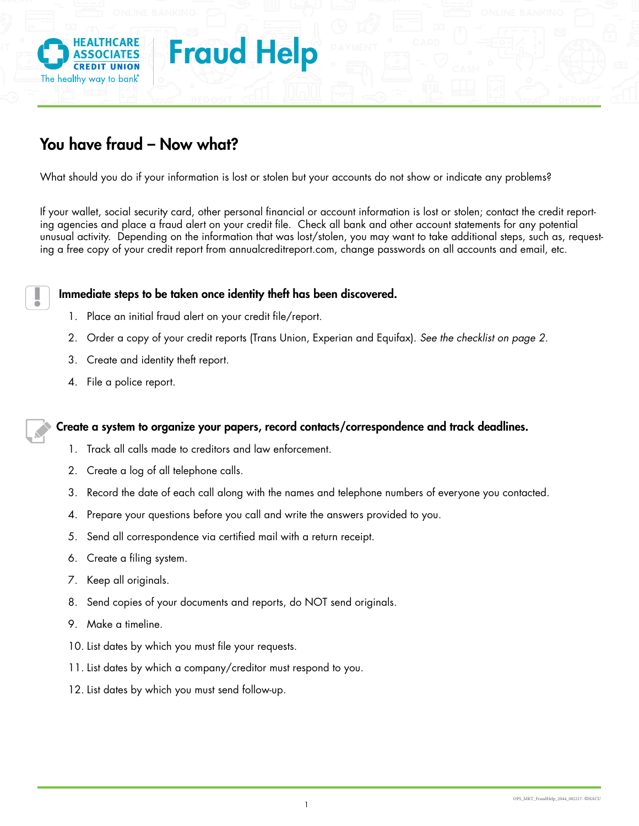

## You have fraud – Now what?

What should you do if your information is lost or stolen but your accounts do not show or indicate any problems?

ing agencies and place a fraud alert on your credit file. Check all bank and other account statements for any potential If your wallet, social security card, other personal financial or account information is lost or stolen; contact the credit reportunusual activity. Depending on the information that was lost/stolen, you may want to take additional steps, such as, requesting a free copy of your credit report from annualcreditreport.com, change passwords on all accounts and email, etc.

## Immediate steps to be taken once identity theft has been discovered.

- 1. Place an initial fraud alert on your credit file/report.
- 2. Order a copy of your credit reports (Trans Union, Experian and Equifax). *See the checklist on page 2.*
- 3. Create and identity theft report.
- 4. File a police report.

**!**

## Create a system to organize your papers, record contacts/correspondence and track deadlines.

- 1. Track all calls made to creditors and law enforcement.
- 2. Create a log of all telephone calls.
- 3. Record the date of each call along with the names and telephone numbers of everyone you contacted.
- 4. Prepare your questions before you call and write the answers provided to you.
- 5. Send all correspondence via certified mail with a return receipt.
- 6. Create a filing system.
- 7. Keep all originals.
- 8. Send copies of your documents and reports, do NOT send originals.
- 9. Make a timeline.
- 10. List dates by which you must file your requests.
- 11. List dates by which a company/creditor must respond to you.
- 12. List dates by which you must send follow-up.